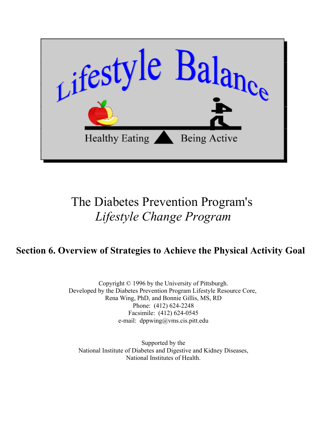

# The Diabetes Prevention Program's *Lifestyle Change Program*

# **Section 6. Overview of Strategies to Achieve the Physical Activity Goal**

Copyright © 1996 by the University of Pittsburgh. Developed by the Diabetes Prevention Program Lifestyle Resource Core, Rena Wing, PhD, and Bonnie Gillis, MS, RD Phone: (412) 624-2248 Facsimile: (412) 624-0545 e-mail: dppwing@vms.cis.pitt.edu

Supported by the [National Institute of Diabetes and Digestive and Kidney Diseases,](http://www.niddk.nih.gov) [National Institutes of Health.](http://www.nih.gov)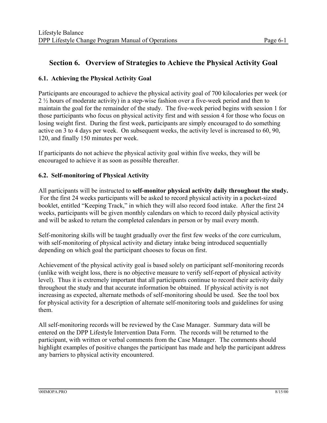# **Section 6. Overview of Strategies to Achieve the Physical Activity Goal**

# **6.1. Achieving the Physical Activity Goal**

Participants are encouraged to achieve the physical activity goal of 700 kilocalories per week (or 2 ½ hours of moderate activity) in a step-wise fashion over a five-week period and then to maintain the goal for the remainder of the study. The five-week period begins with session 1 for those participants who focus on physical activity first and with session 4 for those who focus on losing weight first. During the first week, participants are simply encouraged to do something active on 3 to 4 days per week. On subsequent weeks, the activity level is increased to 60, 90, 120, and finally 150 minutes per week.

If participants do not achieve the physical activity goal within five weeks, they will be encouraged to achieve it as soon as possible thereafter.

## **6.2. Self-monitoring of Physical Activity**

All participants will be instructed to **self-monitor physical activity daily throughout the study.**  For the first 24 weeks participants will be asked to record physical activity in a pocket-sized booklet, entitled "Keeping Track," in which they will also record food intake. After the first 24 weeks, participants will be given monthly calendars on which to record daily physical activity and will be asked to return the completed calendars in person or by mail every month.

Self-monitoring skills will be taught gradually over the first few weeks of the core curriculum, with self-monitoring of physical activity and dietary intake being introduced sequentially depending on which goal the participant chooses to focus on first.

Achievement of the physical activity goal is based solely on participant self-monitoring records (unlike with weight loss, there is no objective measure to verify self-report of physical activity level). Thus it is extremely important that all participants continue to record their activity daily throughout the study and that accurate information be obtained. If physical activity is not increasing as expected, alternate methods of self-monitoring should be used. See the tool box for physical activity for a description of alternate self-monitoring tools and guidelines for using them.

All self-monitoring records will be reviewed by the Case Manager. Summary data will be entered on the DPP Lifestyle Intervention Data Form. The records will be returned to the participant, with written or verbal comments from the Case Manager. The comments should highlight examples of positive changes the participant has made and help the participant address any barriers to physical activity encountered.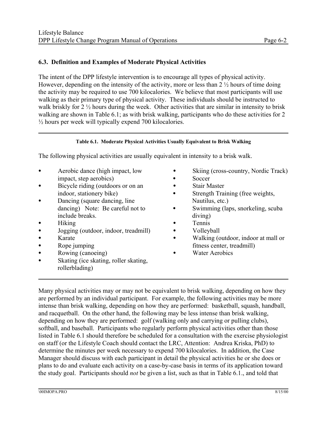## **6.3. Definition and Examples of Moderate Physical Activities**

The intent of the DPP lifestyle intervention is to encourage all types of physical activity. However, depending on the intensity of the activity, more or less than 2 ½ hours of time doing the activity may be required to use 700 kilocalories. We believe that most participants will use walking as their primary type of physical activity. These individuals should be instructed to walk briskly for 2  $\frac{1}{2}$  hours during the week. Other activities that are similar in intensity to brisk walking are shown in Table 6.1; as with brisk walking, participants who do these activities for 2 ½ hours per week will typically expend 700 kilocalories.

#### **Table 6.1. Moderate Physical Activities Usually Equivalent to Brisk Walking**

The following physical activities are usually equivalent in intensity to a brisk walk.

- impact, step aerobics) and the Soccer subset of Soccer
- Bicycle riding (outdoors or on an C Stair Master
- Dancing (square dancing, line Nautilus, etc.) include breaks. diving)
- 
- C Jogging (outdoor, indoor, treadmill) C Volleyball
- 
- 
- Rowing (canoeing) Water Aerobics
- Skating (ice skating, roller skating, rollerblading)
- Aerobic dance (high impact, low Skiing (cross-country, Nordic Track)
	-
	-
	- indoor, stationery bike) <br>
	Strength Training (free weights,
	- dancing) Note: Be careful not to Swimming (laps, snorkeling, scuba
- Hiking **Communist Communist Communist Communist Communist Communist Communist Communist Communist Communist Communist Communist Communist Communist Communist Communist Communist Communist Communist Communist Communist Co** 
	-
- Karate Karate C Walking (outdoor, indoor at mall or • Rope jumping fitness center, treadmill)
	-

Many physical activities may or may not be equivalent to brisk walking, depending on how they are performed by an individual participant. For example, the following activities may be more intense than brisk walking, depending on how they are performed: basketball, squash, handball, and racquetball. On the other hand, the following may be less intense than brisk walking, depending on how they are performed: golf (walking only and carrying or pulling clubs), softball, and baseball. Participants who regularly perform physical activities other than those listed in Table 6.1 should therefore be scheduled for a consultation with the exercise physiologist on staff (or the Lifestyle Coach should contact the LRC, Attention: Andrea Kriska, PhD) to determine the minutes per week necessary to expend 700 kilocalories. In addition, the Case Manager should discuss with each participant in detail the physical activities he or she does or plans to do and evaluate each activity on a case-by-case basis in terms of its application toward the study goal. Participants should *not* be given a list, such as that in Table 6.1., and told that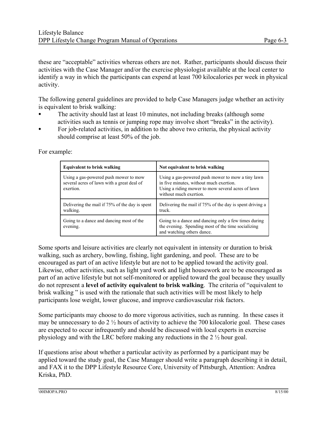these are "acceptable" activities whereas others are not. Rather, participants should discuss their activities with the Case Manager and/or the exercise physiologist available at the local center to identify a way in which the participants can expend at least 700 kilocalories per week in physical activity.

The following general guidelines are provided to help Case Managers judge whether an activity is equivalent to brisk walking:

- The activity should last at least 10 minutes, not including breaks (although some activities such as tennis or jumping rope may involve short "breaks" in the activity).
- For job-related activities, in addition to the above two criteria, the physical activity should comprise at least 50% of the job.

| <b>Equivalent to brisk walking</b>                                                               | Not equivalent to brisk walking                                                                                                                                             |
|--------------------------------------------------------------------------------------------------|-----------------------------------------------------------------------------------------------------------------------------------------------------------------------------|
| Using a gas-powered push mower to mow<br>several acres of lawn with a great deal of<br>exertion. | Using a gas-powered push mower to mow a tiny lawn<br>in five minutes, without much exertion.<br>Using a riding mower to mow several acres of lawn<br>without much exertion. |
| Delivering the mail if 75% of the day is spent<br>walking.                                       | Delivering the mail if 75% of the day is spent driving a<br>truck.                                                                                                          |
| Going to a dance and dancing most of the<br>evening.                                             | Going to a dance and dancing only a few times during<br>the evening. Spending most of the time socializing<br>and watching others dance.                                    |

For example:

Some sports and leisure activities are clearly not equivalent in intensity or duration to brisk walking, such as archery, bowling, fishing, light gardening, and pool. These are to be encouraged as part of an active lifestyle but are not to be applied toward the activity goal. Likewise, other activities, such as light yard work and light housework are to be encouraged as part of an active lifestyle but not self-monitored or applied toward the goal because they usually do not represent a **level of activity equivalent to brisk walking**. The criteria of "equivalent to brisk walking " is used with the rationale that such activities will be most likely to help participants lose weight, lower glucose, and improve cardiovascular risk factors.

Some participants may choose to do more vigorous activities, such as running. In these cases it may be unnecessary to do  $2\frac{1}{2}$  hours of activity to achieve the 700 kilocalorie goal. These cases are expected to occur infrequently and should be discussed with local experts in exercise physiology and with the LRC before making any reductions in the 2 ½ hour goal.

If questions arise about whether a particular activity as performed by a participant may be applied toward the study goal, the Case Manager should write a paragraph describing it in detail, and FAX it to the DPP Lifestyle Resource Core, University of Pittsburgh, Attention: Andrea Kriska, PhD.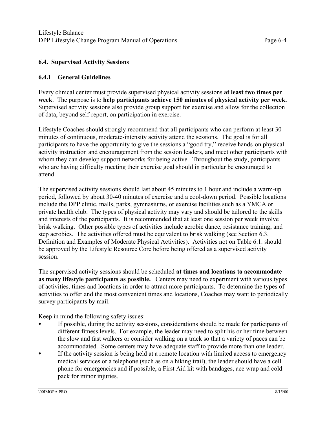# **6.4. Supervised Activity Sessions**

#### **6.4.1 General Guidelines**

Every clinical center must provide supervised physical activity sessions **at least two times per week**. The purpose is to **help participants achieve 150 minutes of physical activity per week.**  Supervised activity sessions also provide group support for exercise and allow for the collection of data, beyond self-report, on participation in exercise.

Lifestyle Coaches should strongly recommend that all participants who can perform at least 30 minutes of continuous, moderate-intensity activity attend the sessions. The goal is for all participants to have the opportunity to give the sessions a "good try," receive hands-on physical activity instruction and encouragement from the session leaders, and meet other participants with whom they can develop support networks for being active. Throughout the study, participants who are having difficulty meeting their exercise goal should in particular be encouraged to attend.

The supervised activity sessions should last about 45 minutes to 1 hour and include a warm-up period, followed by about 30-40 minutes of exercise and a cool-down period. Possible locations include the DPP clinic, malls, parks, gymnasiums, or exercise facilities such as a YMCA or private health club. The types of physical activity may vary and should be tailored to the skills and interests of the participants. It is recommended that at least one session per week involve brisk walking. Other possible types of activities include aerobic dance, resistance training, and step aerobics. The activities offered must be equivalent to brisk walking (see Section 6.3. Definition and Examples of Moderate Physical Activities). Activities not on Table 6.1. should be approved by the Lifestyle Resource Core before being offered as a supervised activity session.

The supervised activity sessions should be scheduled **at times and locations to accommodate as many lifestyle participants as possible.** Centers may need to experiment with various types of activities, times and locations in order to attract more participants. To determine the types of activities to offer and the most convenient times and locations, Coaches may want to periodically survey participants by mail.

Keep in mind the following safety issues:

- If possible, during the activity sessions, considerations should be made for participants of different fitness levels. For example, the leader may need to split his or her time between the slow and fast walkers or consider walking on a track so that a variety of paces can be accommodated. Some centers may have adequate staff to provide more than one leader.
- If the activity session is being held at a remote location with limited access to emergency medical services or a telephone (such as on a hiking trail), the leader should have a cell phone for emergencies and if possible, a First Aid kit with bandages, ace wrap and cold pack for minor injuries.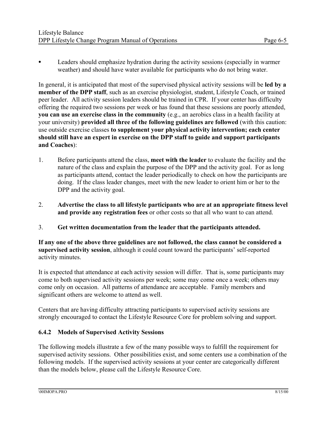Leaders should emphasize hydration during the activity sessions (especially in warmer weather) and should have water available for participants who do not bring water.

In general, it is anticipated that most of the supervised physical activity sessions will be **led by a member of the DPP staff**, such as an exercise physiologist, student, Lifestyle Coach, or trained peer leader. All activity session leaders should be trained in CPR. If your center has difficulty offering the required two sessions per week or has found that these sessions are poorly attended, **you can use an exercise class in the community** (e.g., an aerobics class in a health facility at your university) **provided all three of the following guidelines are followed** (with this caution: use outside exercise classes **to supplement your physical activity intervention; each center should still have an expert in exercise on the DPP staff to guide and support participants and Coaches**):

- 1. Before participants attend the class, **meet with the leader** to evaluate the facility and the nature of the class and explain the purpose of the DPP and the activity goal. For as long as participants attend, contact the leader periodically to check on how the participants are doing. If the class leader changes, meet with the new leader to orient him or her to the DPP and the activity goal.
- 2. **Advertise the class to all lifestyle participants who are at an appropriate fitness level and provide any registration fees** or other costs so that all who want to can attend.
- 3. **Get written documentation from the leader that the participants attended.**

**If any one of the above three guidelines are not followed, the class cannot be considered a supervised activity session**, although it could count toward the participants' self-reported activity minutes.

It is expected that attendance at each activity session will differ. That is, some participants may come to both supervised activity sessions per week; some may come once a week; others may come only on occasion. All patterns of attendance are acceptable. Family members and significant others are welcome to attend as well.

Centers that are having difficulty attracting participants to supervised activity sessions are strongly encouraged to contact the Lifestyle Resource Core for problem solving and support.

# **6.4.2 Models of Supervised Activity Sessions**

The following models illustrate a few of the many possible ways to fulfill the requirement for supervised activity sessions. Other possibilities exist, and some centers use a combination of the following models. If the supervised activity sessions at your center are categorically different than the models below, please call the Lifestyle Resource Core.